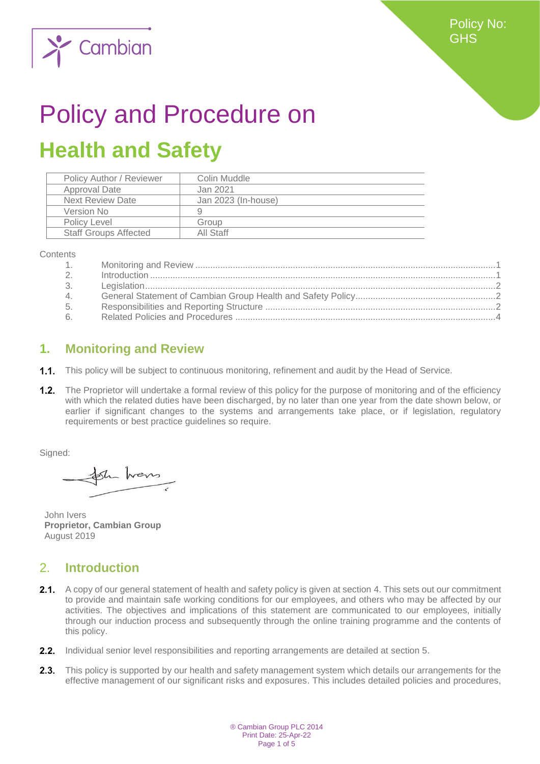

# Policy and Procedure on **Health and Safety**

| Policy Author / Reviewer     | Colin Muddle        |
|------------------------------|---------------------|
| <b>Approval Date</b>         | Jan 2021            |
| <b>Next Review Date</b>      | Jan 2023 (In-house) |
| Version No                   | g                   |
| Policy Level                 | Group               |
| <b>Staff Groups Affected</b> | All Staff           |

**Contents** 

| 1.    |  |
|-------|--|
| 2.    |  |
| 3.    |  |
| 4.    |  |
| 5.    |  |
| $6 -$ |  |
|       |  |

## <span id="page-0-0"></span>**1. Monitoring and Review**

1.1. This policy will be subject to continuous monitoring, refinement and audit by the Head of Service.

1.2. The Proprietor will undertake a formal review of this policy for the purpose of monitoring and of the efficiency with which the related duties have been discharged, by no later than one year from the date shown below, or earlier if significant changes to the systems and arrangements take place, or if legislation, regulatory requirements or best practice guidelines so require.

Signed:

the hours

John Ivers **Proprietor, Cambian Group** August 2019

# <span id="page-0-1"></span>2. **Introduction**

- 2.1. A copy of our general statement of health and safety policy is given at section 4. This sets out our commitment to provide and maintain safe working conditions for our employees, and others who may be affected by our activities. The objectives and implications of this statement are communicated to our employees, initially through our induction process and subsequently through the online training programme and the contents of this policy.
- 2.2. Individual senior level responsibilities and reporting arrangements are detailed at section 5.
- $2.3.$ This policy is supported by our health and safety management system which details our arrangements for the effective management of our significant risks and exposures. This includes detailed policies and procedures,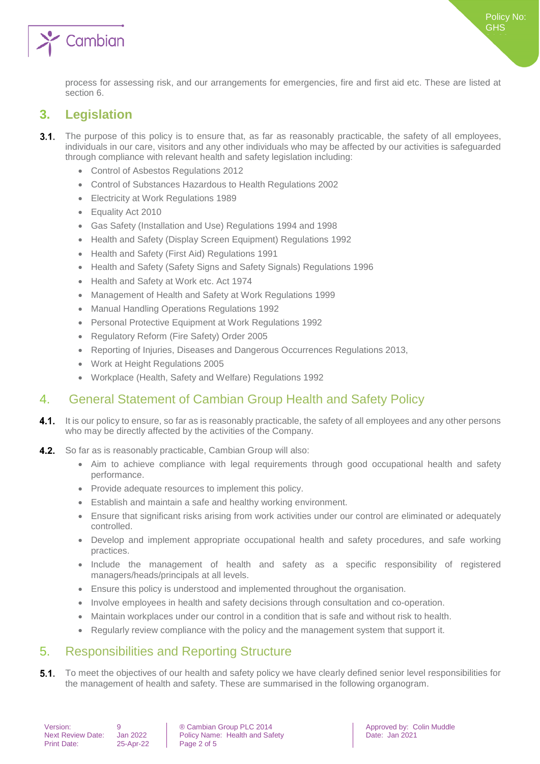

## <span id="page-1-0"></span>**3. Legislation**

- $3.1.$ The purpose of this policy is to ensure that, as far as reasonably practicable, the safety of all employees, individuals in our care, visitors and any other individuals who may be affected by our activities is safeguarded through compliance with relevant health and safety legislation including:
	- Control of Asbestos Regulations 2012
	- Control of Substances Hazardous to Health Regulations 2002
	- Electricity at Work Regulations 1989
	- Equality Act 2010
	- Gas Safety (Installation and Use) Regulations 1994 and 1998
	- Health and Safety (Display Screen Equipment) Regulations 1992
	- Health and Safety (First Aid) Regulations 1991
	- Health and Safety (Safety Signs and Safety Signals) Regulations 1996
	- Health and Safety at Work etc. Act 1974
	- Management of Health and Safety at Work Regulations 1999
	- Manual Handling Operations Regulations 1992
	- Personal Protective Equipment at Work Regulations 1992
	- Regulatory Reform (Fire Safety) Order 2005
	- Reporting of Injuries, Diseases and Dangerous Occurrences Regulations 2013,
	- Work at Height Regulations 2005
	- Workplace (Health, Safety and Welfare) Regulations 1992

## <span id="page-1-1"></span>4. General Statement of Cambian Group Health and Safety Policy

- 4.1. It is our policy to ensure, so far as is reasonably practicable, the safety of all employees and any other persons who may be directly affected by the activities of the Company.
- $4.2.$ So far as is reasonably practicable, Cambian Group will also:
	- Aim to achieve compliance with legal requirements through good occupational health and safety performance.
	- Provide adequate resources to implement this policy.
	- Establish and maintain a safe and healthy working environment.
	- Ensure that significant risks arising from work activities under our control are eliminated or adequately controlled.
	- Develop and implement appropriate occupational health and safety procedures, and safe working practices.
	- Include the management of health and safety as a specific responsibility of registered managers/heads/principals at all levels.
	- Ensure this policy is understood and implemented throughout the organisation.
	- Involve employees in health and safety decisions through consultation and co-operation.
	- Maintain workplaces under our control in a condition that is safe and without risk to health.
	- Regularly review compliance with the policy and the management system that support it.

## <span id="page-1-2"></span>5. Responsibilities and Reporting Structure

To meet the objectives of our health and safety policy we have clearly defined senior level responsibilities for  $5.1.$ the management of health and safety. These are summarised in the following organogram.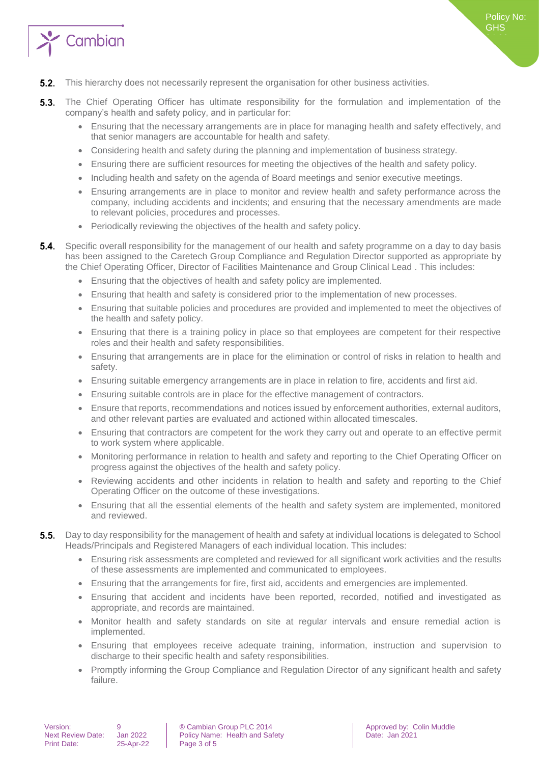

- $5.2.$ This hierarchy does not necessarily represent the organisation for other business activities.
- $5.3.$ The Chief Operating Officer has ultimate responsibility for the formulation and implementation of the company's health and safety policy, and in particular for:
	- Ensuring that the necessary arrangements are in place for managing health and safety effectively, and that senior managers are accountable for health and safety.
	- Considering health and safety during the planning and implementation of business strategy.
	- Ensuring there are sufficient resources for meeting the objectives of the health and safety policy.
	- Including health and safety on the agenda of Board meetings and senior executive meetings.
	- Ensuring arrangements are in place to monitor and review health and safety performance across the company, including accidents and incidents; and ensuring that the necessary amendments are made to relevant policies, procedures and processes.
	- Periodically reviewing the objectives of the health and safety policy.
- Specific overall responsibility for the management of our health and safety programme on a day to day basis 5 A has been assigned to the Caretech Group Compliance and Regulation Director supported as appropriate by the Chief Operating Officer, Director of Facilities Maintenance and Group Clinical Lead . This includes:
	- Ensuring that the objectives of health and safety policy are implemented.
	- Ensuring that health and safety is considered prior to the implementation of new processes.
	- Ensuring that suitable policies and procedures are provided and implemented to meet the objectives of the health and safety policy.
	- Ensuring that there is a training policy in place so that employees are competent for their respective roles and their health and safety responsibilities.
	- Ensuring that arrangements are in place for the elimination or control of risks in relation to health and safety.
	- Ensuring suitable emergency arrangements are in place in relation to fire, accidents and first aid.
	- Ensuring suitable controls are in place for the effective management of contractors.
	- Ensure that reports, recommendations and notices issued by enforcement authorities, external auditors, and other relevant parties are evaluated and actioned within allocated timescales.
	- Ensuring that contractors are competent for the work they carry out and operate to an effective permit to work system where applicable.
	- Monitoring performance in relation to health and safety and reporting to the Chief Operating Officer on progress against the objectives of the health and safety policy.
	- Reviewing accidents and other incidents in relation to health and safety and reporting to the Chief Operating Officer on the outcome of these investigations.
	- Ensuring that all the essential elements of the health and safety system are implemented, monitored and reviewed.
- Day to day responsibility for the management of health and safety at individual locations is delegated to School  $5.5.$ Heads/Principals and Registered Managers of each individual location. This includes:
	- Ensuring risk assessments are completed and reviewed for all significant work activities and the results of these assessments are implemented and communicated to employees.
	- Ensuring that the arrangements for fire, first aid, accidents and emergencies are implemented.
	- Ensuring that accident and incidents have been reported, recorded, notified and investigated as appropriate, and records are maintained.
	- Monitor health and safety standards on site at regular intervals and ensure remedial action is implemented.
	- Ensuring that employees receive adequate training, information, instruction and supervision to discharge to their specific health and safety responsibilities.
	- Promptly informing the Group Compliance and Regulation Director of any significant health and safety failure.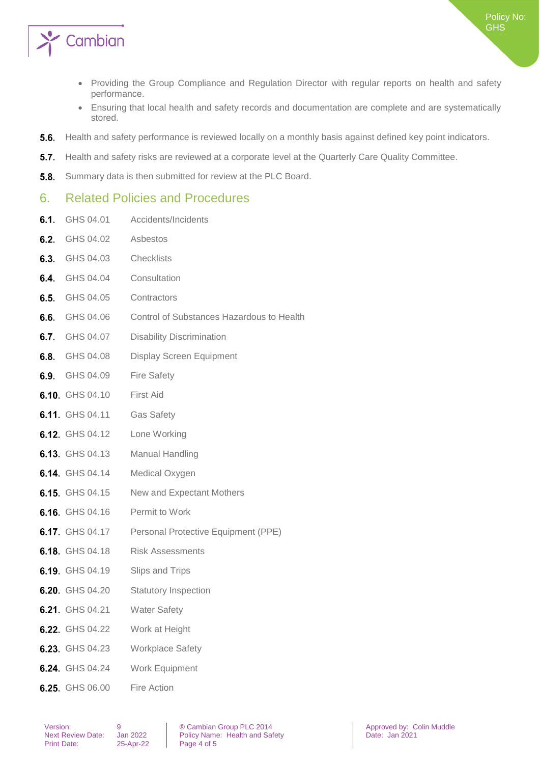

- Providing the Group Compliance and Regulation Director with regular reports on health and safety performance.
- Ensuring that local health and safety records and documentation are complete and are systematically stored.
- $5.6.$ Health and safety performance is reviewed locally on a monthly basis against defined key point indicators.
- $5.7.$ Health and safety risks are reviewed at a corporate level at the Quarterly Care Quality Committee.
- $5.8.$ Summary data is then submitted for review at the PLC Board.

#### <span id="page-3-0"></span>6. Related Policies and Procedures

**6.1.** GHS 04.01 Accidents/Incidents

| 6.2. | GHS 04.02       | Asbestos                                  |
|------|-----------------|-------------------------------------------|
|      | 6.3. GHS 04.03  | <b>Checklists</b>                         |
|      | 6.4. GHS 04.04  | Consultation                              |
|      | 6.5. GHS 04.05  | Contractors                               |
|      | 6.6. GHS 04.06  | Control of Substances Hazardous to Health |
|      | 6.7. GHS 04.07  | <b>Disability Discrimination</b>          |
|      | 6.8. GHS 04.08  | <b>Display Screen Equipment</b>           |
|      | 6.9. GHS 04.09  | <b>Fire Safety</b>                        |
|      | 6.10 GHS 04.10  | First Aid                                 |
|      | 6.11 GHS 04.11  | <b>Gas Safety</b>                         |
|      | 6.12 GHS 04.12  | Lone Working                              |
|      | 6.13 GHS 04.13  | Manual Handling                           |
|      | 6.14. GHS 04.14 | Medical Oxygen                            |
|      | 6.15. GHS 04.15 | New and Expectant Mothers                 |
|      | 6.16 GHS 04.16  | Permit to Work                            |
|      | 6.17 GHS 04.17  | Personal Protective Equipment (PPE)       |
|      | 6.18 GHS 04.18  | <b>Risk Assessments</b>                   |
|      | 6.19. GHS 04.19 | Slips and Trips                           |
|      | 6.20. GHS 04.20 | <b>Statutory Inspection</b>               |
|      | 6.21. GHS 04.21 | <b>Water Safety</b>                       |
|      | 6.22 GHS 04.22  | Work at Height                            |
|      | 6.23 GHS 04.23  | <b>Workplace Safety</b>                   |
|      | 6.24 GHS 04.24  | Work Equipment                            |
|      | 6.25 GHS 06.00  | Fire Action                               |